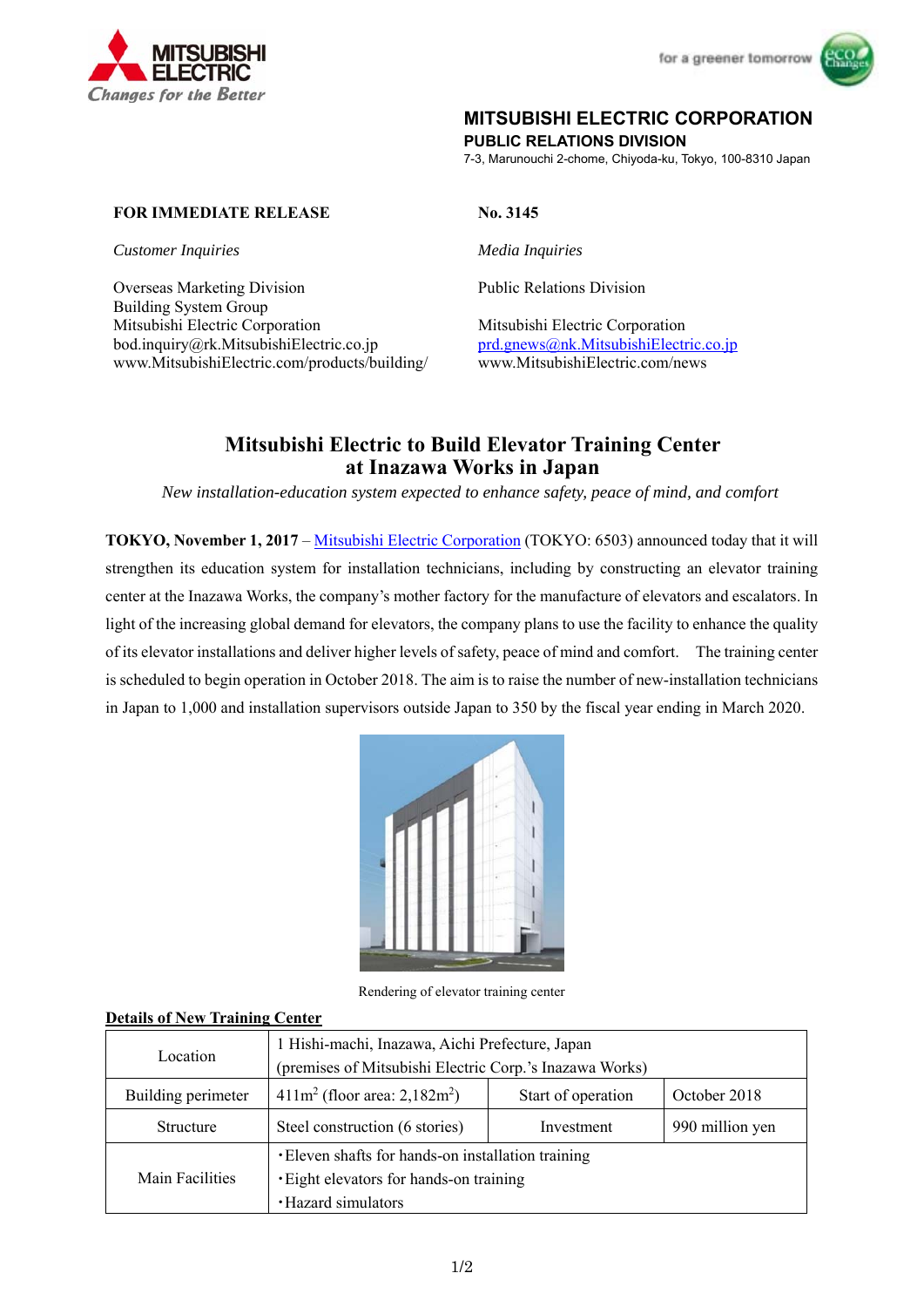



# **MITSUBISHI ELECTRIC CORPORATION**

**PUBLIC RELATIONS DIVISION** 

7-3, Marunouchi 2-chome, Chiyoda-ku, Tokyo, 100-8310 Japan

## **FOR IMMEDIATE RELEASE No. 3145**

*Customer Inquiries Media Inquiries* 

Overseas Marketing Division Public Relations Division Building System Group Mitsubishi Electric Corporation Mitsubishi Electric Corporation bod.inquiry@rk.MitsubishiElectric.co.jp prd.gnews@nk.MitsubishiElectric.co.jp www.MitsubishiElectric.com/products/building/ www.MitsubishiElectric.com/news

# **Mitsubishi Electric to Build Elevator Training Center at Inazawa Works in Japan**

*New installation-education system expected to enhance safety, peace of mind, and comfort* 

**TOKYO, November 1, 2017** – Mitsubishi Electric Corporation (TOKYO: 6503) announced today that it will strengthen its education system for installation technicians, including by constructing an elevator training center at the Inazawa Works, the company's mother factory for the manufacture of elevators and escalators. In light of the increasing global demand for elevators, the company plans to use the facility to enhance the quality of its elevator installations and deliver higher levels of safety, peace of mind and comfort. The training center is scheduled to begin operation in October 2018. The aim is to raise the number of new-installation technicians in Japan to 1,000 and installation supervisors outside Japan to 350 by the fiscal year ending in March 2020.



Rendering of elevator training center

#### **Details of New Training Center**

| Location           | 1 Hishi-machi, Inazawa, Aichi Prefecture, Japan<br>(premises of Mitsubishi Electric Corp.'s Inazawa Works)           |                    |                 |
|--------------------|----------------------------------------------------------------------------------------------------------------------|--------------------|-----------------|
| Building perimeter | $411m^2$ (floor area: 2,182m <sup>2</sup> )                                                                          | Start of operation | October 2018    |
| Structure          | Steel construction (6 stories)                                                                                       | Investment         | 990 million yen |
| Main Facilities    | • Eleven shafts for hands-on installation training<br>. Eight elevators for hands-on training<br>· Hazard simulators |                    |                 |